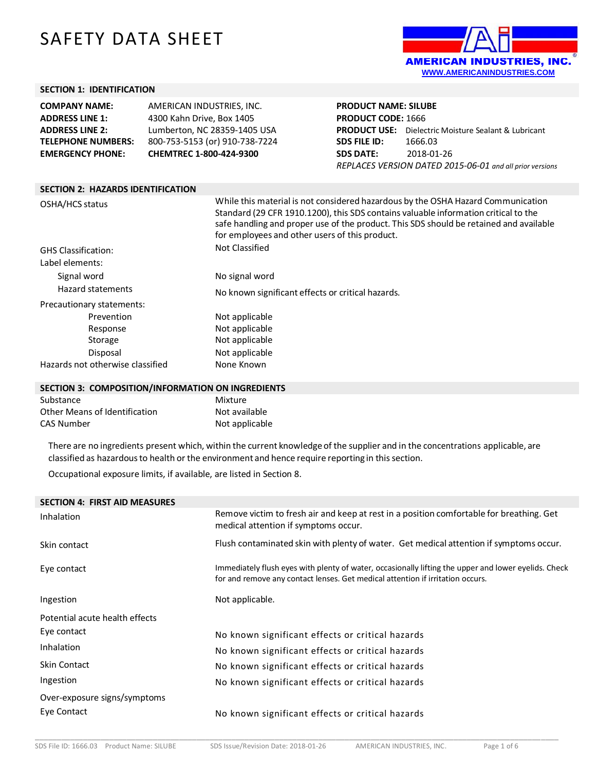# SAFETY DATA SHEET



#### **SECTION 1: IDENTIFICATION**

| <b>COMPANY NAME:</b>      | AMERICAN INDUSTRIES. INC.      |
|---------------------------|--------------------------------|
| <b>ADDRESS LINE 1:</b>    | 4300 Kahn Drive, Box 1405      |
| <b>ADDRESS LINE 2:</b>    | Lumberton, NC 28359-1405 USA   |
| <b>TELEPHONE NUMBERS:</b> | 800-753-5153 (or) 910-738-7224 |
| <b>EMERGENCY PHONE:</b>   | CHEMTREC 1-800-424-9300        |

### **PRODUCT NAME: SILUBE PRODUCT CODE:** 1666 **PRODUCT USE:** Dielectric Moisture Sealant & Lubricant **SDS FILE ID:** 1666.03 **SDS DATE:** 2018-01-26 *REPLACES VERSION DATED 2015-06-01 and all prior versions*

| <b>SECTION 2: HAZARDS IDENTIFICATION</b> |                                                                                                                                                                                                                                                                                                                     |  |  |
|------------------------------------------|---------------------------------------------------------------------------------------------------------------------------------------------------------------------------------------------------------------------------------------------------------------------------------------------------------------------|--|--|
| OSHA/HCS status                          | While this material is not considered hazardous by the OSHA Hazard Communication<br>Standard (29 CFR 1910.1200), this SDS contains valuable information critical to the<br>safe handling and proper use of the product. This SDS should be retained and available<br>for employees and other users of this product. |  |  |
| <b>GHS Classification:</b>               | Not Classified                                                                                                                                                                                                                                                                                                      |  |  |
| Label elements:                          |                                                                                                                                                                                                                                                                                                                     |  |  |
| Signal word                              | No signal word                                                                                                                                                                                                                                                                                                      |  |  |
| Hazard statements                        | No known significant effects or critical hazards.                                                                                                                                                                                                                                                                   |  |  |
| Precautionary statements:                |                                                                                                                                                                                                                                                                                                                     |  |  |
| Prevention                               | Not applicable                                                                                                                                                                                                                                                                                                      |  |  |
| Response                                 | Not applicable                                                                                                                                                                                                                                                                                                      |  |  |
| Storage                                  | Not applicable                                                                                                                                                                                                                                                                                                      |  |  |
| Disposal                                 | Not applicable                                                                                                                                                                                                                                                                                                      |  |  |
| Hazards not otherwise classified         | None Known                                                                                                                                                                                                                                                                                                          |  |  |

#### **SECTION 3: COMPOSITION/INFORMATION ON INGREDIENTS**

| Substance                     | Mixture        |
|-------------------------------|----------------|
| Other Means of Identification | Not available  |
| CAS Number                    | Not applicable |

There are no ingredients present which, within the current knowledgeof the supplier and in the concentrations applicable, are classified as hazardous to health or the environment and hence require reporting in this section.

Occupational exposure limits, if available, are listed in Section 8.

| Remove victim to fresh air and keep at rest in a position comfortable for breathing. Get<br>medical attention if symptoms occur.                                                       |
|----------------------------------------------------------------------------------------------------------------------------------------------------------------------------------------|
| Flush contaminated skin with plenty of water. Get medical attention if symptoms occur.                                                                                                 |
| Immediately flush eyes with plenty of water, occasionally lifting the upper and lower eyelids. Check<br>for and remove any contact lenses. Get medical attention if irritation occurs. |
| Not applicable.                                                                                                                                                                        |
|                                                                                                                                                                                        |
| No known significant effects or critical hazards                                                                                                                                       |
| No known significant effects or critical hazards                                                                                                                                       |
| No known significant effects or critical hazards                                                                                                                                       |
| No known significant effects or critical hazards                                                                                                                                       |
|                                                                                                                                                                                        |
| No known significant effects or critical hazards                                                                                                                                       |
|                                                                                                                                                                                        |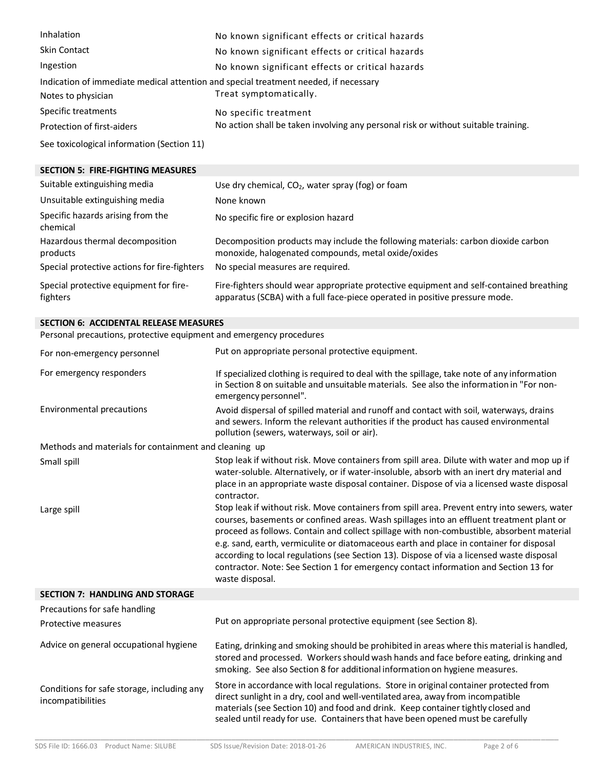| Inhalation                                                                           | No known significant effects or critical hazards                                   |  |  |  |
|--------------------------------------------------------------------------------------|------------------------------------------------------------------------------------|--|--|--|
| <b>Skin Contact</b>                                                                  | No known significant effects or critical hazards                                   |  |  |  |
| Ingestion                                                                            | No known significant effects or critical hazards                                   |  |  |  |
| Indication of immediate medical attention and special treatment needed, if necessary |                                                                                    |  |  |  |
| Notes to physician                                                                   | Treat symptomatically.                                                             |  |  |  |
| Specific treatments                                                                  | No specific treatment                                                              |  |  |  |
| Protection of first-aiders                                                           | No action shall be taken involving any personal risk or without suitable training. |  |  |  |
| See toxicological information (Section 11)                                           |                                                                                    |  |  |  |

#### **SECTION 5: FIRE-FIGHTING MEASURES**

| Suitable extinguishing media                       | Use dry chemical, $CO2$ , water spray (fog) or foam                                                                                                                    |  |  |
|----------------------------------------------------|------------------------------------------------------------------------------------------------------------------------------------------------------------------------|--|--|
| Unsuitable extinguishing media                     | None known                                                                                                                                                             |  |  |
| Specific hazards arising from the<br>chemical      | No specific fire or explosion hazard                                                                                                                                   |  |  |
| Hazardous thermal decomposition<br>products        | Decomposition products may include the following materials: carbon dioxide carbon<br>monoxide, halogenated compounds, metal oxide/oxides                               |  |  |
| Special protective actions for fire-fighters       | No special measures are required.                                                                                                                                      |  |  |
| Special protective equipment for fire-<br>fighters | Fire-fighters should wear appropriate protective equipment and self-contained breathing<br>apparatus (SCBA) with a full face-piece operated in positive pressure mode. |  |  |

## **SECTION 6: ACCIDENTAL RELEASE MEASURES**

Personal precautions, protective equipment and emergency procedures

| For non-emergency personnel                                     | Put on appropriate personal protective equipment.                                                                                                                                                                                                                                                                                                                                                                                                                                                                                                                                        |
|-----------------------------------------------------------------|------------------------------------------------------------------------------------------------------------------------------------------------------------------------------------------------------------------------------------------------------------------------------------------------------------------------------------------------------------------------------------------------------------------------------------------------------------------------------------------------------------------------------------------------------------------------------------------|
| For emergency responders                                        | If specialized clothing is required to deal with the spillage, take note of any information<br>in Section 8 on suitable and unsuitable materials. See also the information in "For non-<br>emergency personnel".                                                                                                                                                                                                                                                                                                                                                                         |
| <b>Environmental precautions</b>                                | Avoid dispersal of spilled material and runoff and contact with soil, waterways, drains<br>and sewers. Inform the relevant authorities if the product has caused environmental<br>pollution (sewers, waterways, soil or air).                                                                                                                                                                                                                                                                                                                                                            |
| Methods and materials for containment and cleaning up           |                                                                                                                                                                                                                                                                                                                                                                                                                                                                                                                                                                                          |
| Small spill                                                     | Stop leak if without risk. Move containers from spill area. Dilute with water and mop up if<br>water-soluble. Alternatively, or if water-insoluble, absorb with an inert dry material and<br>place in an appropriate waste disposal container. Dispose of via a licensed waste disposal<br>contractor.                                                                                                                                                                                                                                                                                   |
| Large spill                                                     | Stop leak if without risk. Move containers from spill area. Prevent entry into sewers, water<br>courses, basements or confined areas. Wash spillages into an effluent treatment plant or<br>proceed as follows. Contain and collect spillage with non-combustible, absorbent material<br>e.g. sand, earth, vermiculite or diatomaceous earth and place in container for disposal<br>according to local regulations (see Section 13). Dispose of via a licensed waste disposal<br>contractor. Note: See Section 1 for emergency contact information and Section 13 for<br>waste disposal. |
| <b>SECTION 7: HANDLING AND STORAGE</b>                          |                                                                                                                                                                                                                                                                                                                                                                                                                                                                                                                                                                                          |
| Precautions for safe handling                                   |                                                                                                                                                                                                                                                                                                                                                                                                                                                                                                                                                                                          |
| Protective measures                                             | Put on appropriate personal protective equipment (see Section 8).                                                                                                                                                                                                                                                                                                                                                                                                                                                                                                                        |
| Advice on general occupational hygiene                          | Eating, drinking and smoking should be prohibited in areas where this material is handled,<br>stored and processed. Workers should wash hands and face before eating, drinking and<br>smoking. See also Section 8 for additional information on hygiene measures.                                                                                                                                                                                                                                                                                                                        |
| Conditions for safe storage, including any<br>incompatibilities | Store in accordance with local regulations. Store in original container protected from<br>direct sunlight in a dry, cool and well-ventilated area, away from incompatible<br>materials (see Section 10) and food and drink. Keep container tightly closed and<br>sealed until ready for use. Containers that have been opened must be carefully                                                                                                                                                                                                                                          |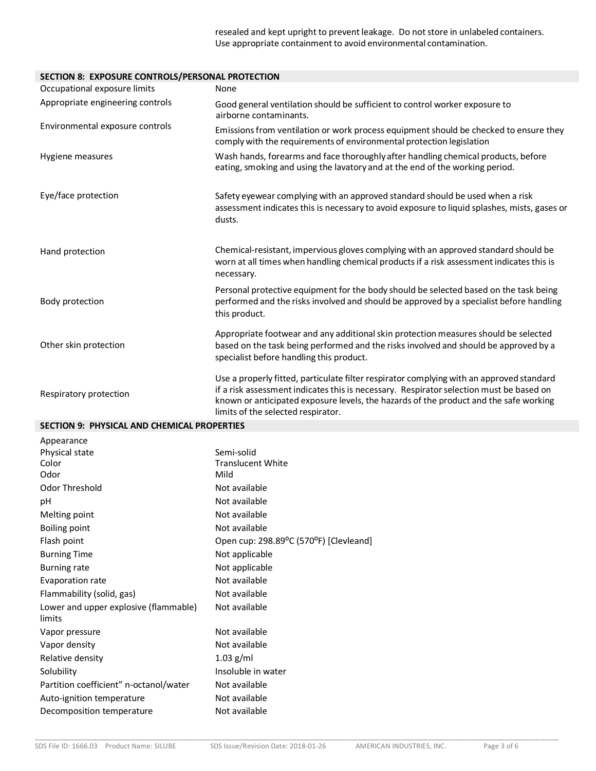resealed and kept upright to prevent leakage. Do not store in unlabeled containers. Use appropriate containment to avoid environmental contamination.

#### **SECTION 8: EXPOSURE CONTROLS/PERSONAL PROTECTION**

| SECTION 6. EAF OSONE CONTINUES/FEISSONAL FINOTECTION |                                                                                                                                                                                                                                                                                                                    |
|------------------------------------------------------|--------------------------------------------------------------------------------------------------------------------------------------------------------------------------------------------------------------------------------------------------------------------------------------------------------------------|
| Occupational exposure limits                         | None                                                                                                                                                                                                                                                                                                               |
| Appropriate engineering controls                     | Good general ventilation should be sufficient to control worker exposure to<br>airborne contaminants.                                                                                                                                                                                                              |
| Environmental exposure controls                      | Emissions from ventilation or work process equipment should be checked to ensure they<br>comply with the requirements of environmental protection legislation                                                                                                                                                      |
| Hygiene measures                                     | Wash hands, forearms and face thoroughly after handling chemical products, before<br>eating, smoking and using the lavatory and at the end of the working period.                                                                                                                                                  |
| Eye/face protection                                  | Safety eyewear complying with an approved standard should be used when a risk<br>assessment indicates this is necessary to avoid exposure to liquid splashes, mists, gases or<br>dusts.                                                                                                                            |
| Hand protection                                      | Chemical-resistant, impervious gloves complying with an approved standard should be<br>worn at all times when handling chemical products if a risk assessment indicates this is<br>necessary.                                                                                                                      |
| Body protection                                      | Personal protective equipment for the body should be selected based on the task being<br>performed and the risks involved and should be approved by a specialist before handling<br>this product.                                                                                                                  |
| Other skin protection                                | Appropriate footwear and any additional skin protection measures should be selected<br>based on the task being performed and the risks involved and should be approved by a<br>specialist before handling this product.                                                                                            |
| Respiratory protection                               | Use a properly fitted, particulate filter respirator complying with an approved standard<br>if a risk assessment indicates this is necessary. Respirator selection must be based on<br>known or anticipated exposure levels, the hazards of the product and the safe working<br>limits of the selected respirator. |
| <b>SECTION 9: PHYSICAL AND CHEMICAL PROPERTIES</b>   |                                                                                                                                                                                                                                                                                                                    |
| Appearance                                           |                                                                                                                                                                                                                                                                                                                    |
| Physical state                                       | Semi-solid                                                                                                                                                                                                                                                                                                         |
| Color                                                | <b>Translucent White</b>                                                                                                                                                                                                                                                                                           |
| Odor                                                 | Mild                                                                                                                                                                                                                                                                                                               |
| <b>Odor Threshold</b>                                | Not available                                                                                                                                                                                                                                                                                                      |
| рH                                                   | Not available                                                                                                                                                                                                                                                                                                      |
| Melting point                                        | Not available                                                                                                                                                                                                                                                                                                      |
| <b>Boiling point</b>                                 | Not available                                                                                                                                                                                                                                                                                                      |
| Flash point                                          | Open cup: 298.89°C (570°F) [Clevleand]                                                                                                                                                                                                                                                                             |
| <b>Burning Time</b>                                  | Not applicable                                                                                                                                                                                                                                                                                                     |
| <b>Burning rate</b>                                  | Not applicable                                                                                                                                                                                                                                                                                                     |
| Evaporation rate                                     | Not available                                                                                                                                                                                                                                                                                                      |
| Flammability (solid, gas)                            | Not available                                                                                                                                                                                                                                                                                                      |
| Lower and upper explosive (flammable)<br>limits      | Not available                                                                                                                                                                                                                                                                                                      |
| Vapor pressure                                       | Not available                                                                                                                                                                                                                                                                                                      |
| Vapor density                                        | Not available                                                                                                                                                                                                                                                                                                      |
| Relative density                                     | $1.03$ g/ml                                                                                                                                                                                                                                                                                                        |
|                                                      |                                                                                                                                                                                                                                                                                                                    |
| Solubility                                           | Insoluble in water                                                                                                                                                                                                                                                                                                 |
| Partition coefficient" n-octanol/water               | Not available                                                                                                                                                                                                                                                                                                      |
| Auto-ignition temperature                            | Not available                                                                                                                                                                                                                                                                                                      |

\_\_\_\_\_\_\_\_\_\_\_\_\_\_\_\_\_\_\_\_\_\_\_\_\_\_\_\_\_\_\_\_\_\_\_\_\_\_\_\_\_\_\_\_\_\_\_\_\_\_\_\_\_\_\_\_\_\_\_\_\_\_\_\_\_\_\_\_\_\_\_\_\_\_\_\_\_\_\_\_\_\_\_\_\_\_\_\_\_\_\_\_\_\_\_\_\_\_\_\_\_\_\_\_\_\_\_\_\_\_\_\_\_\_\_\_\_\_\_\_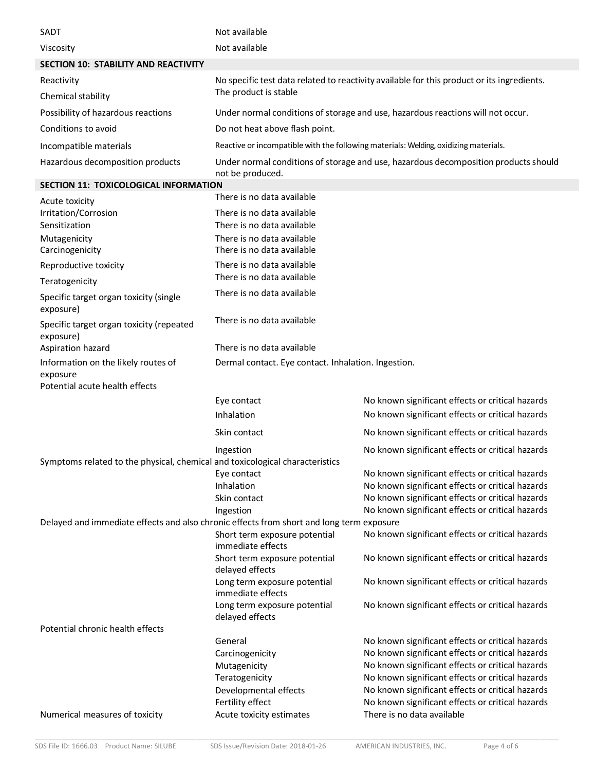| SADT                                                                         | Not available                                                                                                             |                                                                                                      |  |  |  |
|------------------------------------------------------------------------------|---------------------------------------------------------------------------------------------------------------------------|------------------------------------------------------------------------------------------------------|--|--|--|
| Viscosity                                                                    | Not available                                                                                                             |                                                                                                      |  |  |  |
| <b>SECTION 10: STABILITY AND REACTIVITY</b>                                  |                                                                                                                           |                                                                                                      |  |  |  |
| Reactivity                                                                   | No specific test data related to reactivity available for this product or its ingredients.                                |                                                                                                      |  |  |  |
| Chemical stability                                                           | The product is stable                                                                                                     |                                                                                                      |  |  |  |
| Possibility of hazardous reactions                                           | Under normal conditions of storage and use, hazardous reactions will not occur.                                           |                                                                                                      |  |  |  |
| Conditions to avoid                                                          | Do not heat above flash point.                                                                                            |                                                                                                      |  |  |  |
| Incompatible materials                                                       | Reactive or incompatible with the following materials: Welding, oxidizing materials.                                      |                                                                                                      |  |  |  |
| Hazardous decomposition products                                             | Under normal conditions of storage and use, hazardous decomposition products should<br>not be produced.                   |                                                                                                      |  |  |  |
| SECTION 11: TOXICOLOGICAL INFORMATION                                        |                                                                                                                           |                                                                                                      |  |  |  |
| Acute toxicity                                                               | There is no data available                                                                                                |                                                                                                      |  |  |  |
| Irritation/Corrosion<br>Sensitization                                        | There is no data available<br>There is no data available                                                                  |                                                                                                      |  |  |  |
| Mutagenicity<br>Carcinogenicity                                              | There is no data available<br>There is no data available                                                                  |                                                                                                      |  |  |  |
| Reproductive toxicity                                                        | There is no data available                                                                                                |                                                                                                      |  |  |  |
| Teratogenicity                                                               | There is no data available                                                                                                |                                                                                                      |  |  |  |
| Specific target organ toxicity (single<br>exposure)                          | There is no data available                                                                                                |                                                                                                      |  |  |  |
| Specific target organ toxicity (repeated<br>exposure)                        | There is no data available                                                                                                |                                                                                                      |  |  |  |
| Aspiration hazard                                                            | There is no data available                                                                                                |                                                                                                      |  |  |  |
| Information on the likely routes of<br>exposure                              | Dermal contact. Eye contact. Inhalation. Ingestion.                                                                       |                                                                                                      |  |  |  |
| Potential acute health effects                                               |                                                                                                                           |                                                                                                      |  |  |  |
|                                                                              | Eye contact<br>Inhalation                                                                                                 | No known significant effects or critical hazards<br>No known significant effects or critical hazards |  |  |  |
|                                                                              | Skin contact                                                                                                              | No known significant effects or critical hazards                                                     |  |  |  |
|                                                                              |                                                                                                                           |                                                                                                      |  |  |  |
| Symptoms related to the physical, chemical and toxicological characteristics | Ingestion                                                                                                                 | No known significant effects or critical hazards                                                     |  |  |  |
|                                                                              | Eye contact<br>Inhalation                                                                                                 | No known significant effects or critical hazards<br>No known significant effects or critical hazards |  |  |  |
|                                                                              | Skin contact                                                                                                              | No known significant effects or critical hazards                                                     |  |  |  |
|                                                                              |                                                                                                                           |                                                                                                      |  |  |  |
|                                                                              | Ingestion                                                                                                                 | No known significant effects or critical hazards                                                     |  |  |  |
|                                                                              | Delayed and immediate effects and also chronic effects from short and long term exposure<br>Short term exposure potential | No known significant effects or critical hazards                                                     |  |  |  |
|                                                                              | immediate effects<br>Short term exposure potential                                                                        | No known significant effects or critical hazards                                                     |  |  |  |
|                                                                              | delayed effects<br>Long term exposure potential<br>immediate effects                                                      | No known significant effects or critical hazards                                                     |  |  |  |
|                                                                              | Long term exposure potential<br>delayed effects                                                                           | No known significant effects or critical hazards                                                     |  |  |  |
| Potential chronic health effects                                             |                                                                                                                           |                                                                                                      |  |  |  |
|                                                                              | General                                                                                                                   | No known significant effects or critical hazards                                                     |  |  |  |
|                                                                              | Carcinogenicity                                                                                                           | No known significant effects or critical hazards                                                     |  |  |  |
|                                                                              | Mutagenicity                                                                                                              | No known significant effects or critical hazards<br>No known significant effects or critical hazards |  |  |  |
|                                                                              | Teratogenicity<br>Developmental effects                                                                                   | No known significant effects or critical hazards                                                     |  |  |  |
| Numerical measures of toxicity                                               | Fertility effect<br>Acute toxicity estimates                                                                              | No known significant effects or critical hazards<br>There is no data available                       |  |  |  |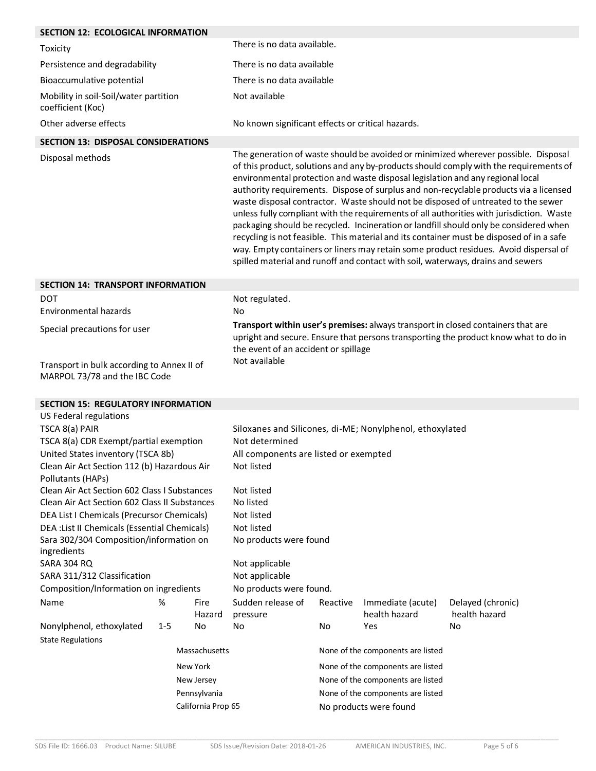| <b>SECTION 12: ECOLOGICAL INFORMATION</b>                                                                                                                                                                                                                                                                                                                                                                                                                                                                                                                                        |         |                                                                                                                                                                                                                                                                                                                                                              |                                                                                                                                                                                                                                                                                                                                                                                                                                                                                                                                                                                                                                                                                                                                                                                                                                                                                                         |                                   |                                   |                     |
|----------------------------------------------------------------------------------------------------------------------------------------------------------------------------------------------------------------------------------------------------------------------------------------------------------------------------------------------------------------------------------------------------------------------------------------------------------------------------------------------------------------------------------------------------------------------------------|---------|--------------------------------------------------------------------------------------------------------------------------------------------------------------------------------------------------------------------------------------------------------------------------------------------------------------------------------------------------------------|---------------------------------------------------------------------------------------------------------------------------------------------------------------------------------------------------------------------------------------------------------------------------------------------------------------------------------------------------------------------------------------------------------------------------------------------------------------------------------------------------------------------------------------------------------------------------------------------------------------------------------------------------------------------------------------------------------------------------------------------------------------------------------------------------------------------------------------------------------------------------------------------------------|-----------------------------------|-----------------------------------|---------------------|
| Toxicity                                                                                                                                                                                                                                                                                                                                                                                                                                                                                                                                                                         |         |                                                                                                                                                                                                                                                                                                                                                              | There is no data available.                                                                                                                                                                                                                                                                                                                                                                                                                                                                                                                                                                                                                                                                                                                                                                                                                                                                             |                                   |                                   |                     |
| Persistence and degradability                                                                                                                                                                                                                                                                                                                                                                                                                                                                                                                                                    |         |                                                                                                                                                                                                                                                                                                                                                              | There is no data available                                                                                                                                                                                                                                                                                                                                                                                                                                                                                                                                                                                                                                                                                                                                                                                                                                                                              |                                   |                                   |                     |
| Bioaccumulative potential                                                                                                                                                                                                                                                                                                                                                                                                                                                                                                                                                        |         |                                                                                                                                                                                                                                                                                                                                                              | There is no data available                                                                                                                                                                                                                                                                                                                                                                                                                                                                                                                                                                                                                                                                                                                                                                                                                                                                              |                                   |                                   |                     |
| Mobility in soil-Soil/water partition<br>coefficient (Koc)                                                                                                                                                                                                                                                                                                                                                                                                                                                                                                                       |         |                                                                                                                                                                                                                                                                                                                                                              | Not available                                                                                                                                                                                                                                                                                                                                                                                                                                                                                                                                                                                                                                                                                                                                                                                                                                                                                           |                                   |                                   |                     |
| Other adverse effects                                                                                                                                                                                                                                                                                                                                                                                                                                                                                                                                                            |         |                                                                                                                                                                                                                                                                                                                                                              | No known significant effects or critical hazards.                                                                                                                                                                                                                                                                                                                                                                                                                                                                                                                                                                                                                                                                                                                                                                                                                                                       |                                   |                                   |                     |
| <b>SECTION 13: DISPOSAL CONSIDERATIONS</b>                                                                                                                                                                                                                                                                                                                                                                                                                                                                                                                                       |         |                                                                                                                                                                                                                                                                                                                                                              |                                                                                                                                                                                                                                                                                                                                                                                                                                                                                                                                                                                                                                                                                                                                                                                                                                                                                                         |                                   |                                   |                     |
| Disposal methods                                                                                                                                                                                                                                                                                                                                                                                                                                                                                                                                                                 |         |                                                                                                                                                                                                                                                                                                                                                              | The generation of waste should be avoided or minimized wherever possible. Disposal<br>of this product, solutions and any by-products should comply with the requirements of<br>environmental protection and waste disposal legislation and any regional local<br>authority requirements. Dispose of surplus and non-recyclable products via a licensed<br>waste disposal contractor. Waste should not be disposed of untreated to the sewer<br>unless fully compliant with the requirements of all authorities with jurisdiction. Waste<br>packaging should be recycled. Incineration or landfill should only be considered when<br>recycling is not feasible. This material and its container must be disposed of in a safe<br>way. Empty containers or liners may retain some product residues. Avoid dispersal of<br>spilled material and runoff and contact with soil, waterways, drains and sewers |                                   |                                   |                     |
| <b>SECTION 14: TRANSPORT INFORMATION</b>                                                                                                                                                                                                                                                                                                                                                                                                                                                                                                                                         |         |                                                                                                                                                                                                                                                                                                                                                              |                                                                                                                                                                                                                                                                                                                                                                                                                                                                                                                                                                                                                                                                                                                                                                                                                                                                                                         |                                   |                                   |                     |
| <b>DOT</b><br><b>Environmental hazards</b>                                                                                                                                                                                                                                                                                                                                                                                                                                                                                                                                       |         | Not regulated.<br>No                                                                                                                                                                                                                                                                                                                                         |                                                                                                                                                                                                                                                                                                                                                                                                                                                                                                                                                                                                                                                                                                                                                                                                                                                                                                         |                                   |                                   |                     |
| Special precautions for user                                                                                                                                                                                                                                                                                                                                                                                                                                                                                                                                                     |         | Transport within user's premises: always transport in closed containers that are<br>upright and secure. Ensure that persons transporting the product know what to do in<br>the event of an accident or spillage                                                                                                                                              |                                                                                                                                                                                                                                                                                                                                                                                                                                                                                                                                                                                                                                                                                                                                                                                                                                                                                                         |                                   |                                   |                     |
| Transport in bulk according to Annex II of<br>MARPOL 73/78 and the IBC Code                                                                                                                                                                                                                                                                                                                                                                                                                                                                                                      |         | Not available                                                                                                                                                                                                                                                                                                                                                |                                                                                                                                                                                                                                                                                                                                                                                                                                                                                                                                                                                                                                                                                                                                                                                                                                                                                                         |                                   |                                   |                     |
| <b>SECTION 15: REGULATORY INFORMATION</b>                                                                                                                                                                                                                                                                                                                                                                                                                                                                                                                                        |         |                                                                                                                                                                                                                                                                                                                                                              |                                                                                                                                                                                                                                                                                                                                                                                                                                                                                                                                                                                                                                                                                                                                                                                                                                                                                                         |                                   |                                   |                     |
| US Federal regulations<br>TSCA 8(a) PAIR<br>TSCA 8(a) CDR Exempt/partial exemption<br>United States inventory (TSCA 8b)<br>Clean Air Act Section 112 (b) Hazardous Air<br>Pollutants (HAPs)<br><b>Clean Air Act Section 602 Class I Substances</b><br>Clean Air Act Section 602 Class II Substances<br>DEA List I Chemicals (Precursor Chemicals)<br>DEA : List II Chemicals (Essential Chemicals)<br>Sara 302/304 Composition/information on<br>ingredients<br><b>SARA 304 RQ</b><br>SARA 311/312 Classification<br>Composition/Information on ingredients<br>Name<br>%<br>Fire |         | Siloxanes and Silicones, di-ME; Nonylphenol, ethoxylated<br>Not determined<br>All components are listed or exempted<br>Not listed<br>Not listed<br>No listed<br>Not listed<br>Not listed<br>No products were found<br>Not applicable<br>Not applicable<br>No products were found.<br>Sudden release of<br>Reactive<br>Immediate (acute)<br>Delayed (chronic) |                                                                                                                                                                                                                                                                                                                                                                                                                                                                                                                                                                                                                                                                                                                                                                                                                                                                                                         |                                   |                                   |                     |
| Nonylphenol, ethoxylated                                                                                                                                                                                                                                                                                                                                                                                                                                                                                                                                                         | $1 - 5$ | Hazard<br>No                                                                                                                                                                                                                                                                                                                                                 | pressure<br>No                                                                                                                                                                                                                                                                                                                                                                                                                                                                                                                                                                                                                                                                                                                                                                                                                                                                                          | No                                | health hazard<br>Yes              | health hazard<br>No |
| <b>State Regulations</b>                                                                                                                                                                                                                                                                                                                                                                                                                                                                                                                                                         |         |                                                                                                                                                                                                                                                                                                                                                              |                                                                                                                                                                                                                                                                                                                                                                                                                                                                                                                                                                                                                                                                                                                                                                                                                                                                                                         |                                   |                                   |                     |
|                                                                                                                                                                                                                                                                                                                                                                                                                                                                                                                                                                                  |         | Massachusetts                                                                                                                                                                                                                                                                                                                                                |                                                                                                                                                                                                                                                                                                                                                                                                                                                                                                                                                                                                                                                                                                                                                                                                                                                                                                         | None of the components are listed |                                   |                     |
|                                                                                                                                                                                                                                                                                                                                                                                                                                                                                                                                                                                  |         | New York                                                                                                                                                                                                                                                                                                                                                     |                                                                                                                                                                                                                                                                                                                                                                                                                                                                                                                                                                                                                                                                                                                                                                                                                                                                                                         |                                   | None of the components are listed |                     |
| New Jersey<br>Pennsylvania<br>California Prop 65                                                                                                                                                                                                                                                                                                                                                                                                                                                                                                                                 |         |                                                                                                                                                                                                                                                                                                                                                              | None of the components are listed                                                                                                                                                                                                                                                                                                                                                                                                                                                                                                                                                                                                                                                                                                                                                                                                                                                                       |                                   |                                   |                     |
|                                                                                                                                                                                                                                                                                                                                                                                                                                                                                                                                                                                  |         |                                                                                                                                                                                                                                                                                                                                                              | None of the components are listed<br>No products were found                                                                                                                                                                                                                                                                                                                                                                                                                                                                                                                                                                                                                                                                                                                                                                                                                                             |                                   |                                   |                     |
|                                                                                                                                                                                                                                                                                                                                                                                                                                                                                                                                                                                  |         |                                                                                                                                                                                                                                                                                                                                                              |                                                                                                                                                                                                                                                                                                                                                                                                                                                                                                                                                                                                                                                                                                                                                                                                                                                                                                         |                                   |                                   |                     |

\_\_\_\_\_\_\_\_\_\_\_\_\_\_\_\_\_\_\_\_\_\_\_\_\_\_\_\_\_\_\_\_\_\_\_\_\_\_\_\_\_\_\_\_\_\_\_\_\_\_\_\_\_\_\_\_\_\_\_\_\_\_\_\_\_\_\_\_\_\_\_\_\_\_\_\_\_\_\_\_\_\_\_\_\_\_\_\_\_\_\_\_\_\_\_\_\_\_\_\_\_\_\_\_\_\_\_\_\_\_\_\_\_\_\_\_\_\_\_\_